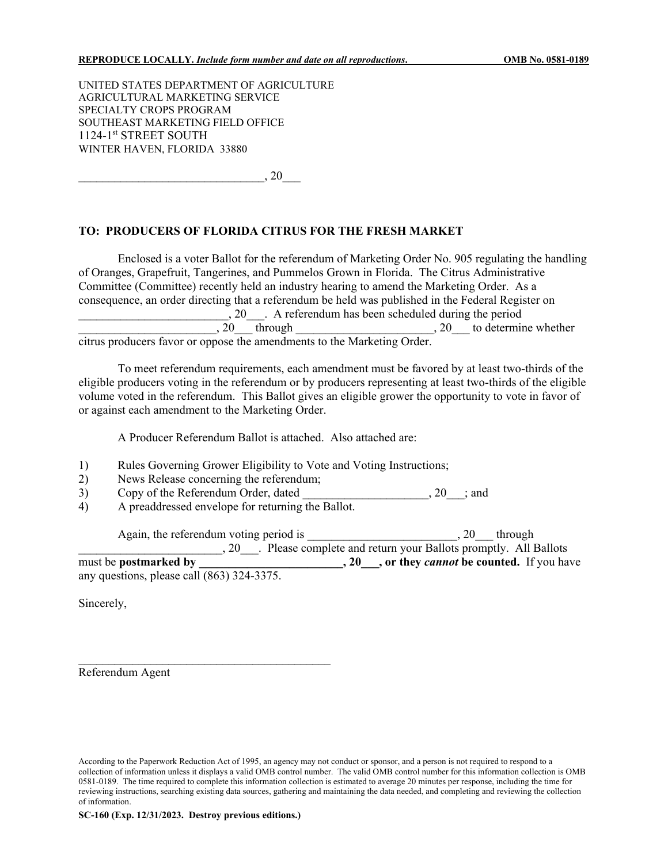UNITED STATES DEPARTMENT OF AGRICULTURE AGRICULTURAL MARKETING SERVICE SPECIALTY CROPS PROGRAM SOUTHEAST MARKETING FIELD OFFICE 1124-1<sup>st</sup> STREET SOUTH WINTER HAVEN, FLORIDA 33880

 $, 20$ 

### **TO: PRODUCERS OF FLORIDA CITRUS FOR THE FRESH MARKET**

Enclosed is a voter Ballot for the referendum of Marketing Order No. 905 regulating the handling of Oranges, Grapefruit, Tangerines, and Pummelos Grown in Florida. The Citrus Administrative Committee (Committee) recently held an industry hearing to amend the Marketing Order. As a consequence, an order directing that a referendum be held was published in the Federal Register on \_\_\_\_\_\_\_\_\_\_\_\_\_\_\_\_\_\_\_\_\_\_\_\_\_, 20\_\_\_. A referendum has been scheduled during the period  $\ldots$ , 20 through  $\ldots$ , 20 to determine whether citrus producers favor or oppose the amendments to the Marketing Order.

To meet referendum requirements, each amendment must be favored by at least two-thirds of the eligible producers voting in the referendum or by producers representing at least two-thirds of the eligible volume voted in the referendum. This Ballot gives an eligible grower the opportunity to vote in favor of or against each amendment to the Marketing Order.

A Producer Referendum Ballot is attached. Also attached are:

- 1) Rules Governing Grower Eligibility to Vote and Voting Instructions;
- 2) News Release concerning the referendum;

\_\_\_\_\_\_\_\_\_\_\_\_\_\_\_\_\_\_\_\_\_\_\_\_\_\_\_\_\_\_\_\_\_\_\_\_\_\_\_\_\_\_

 $3)$  Copy of the Referendum Order, dated \_\_\_\_\_\_\_\_\_\_\_\_\_\_\_\_, 20 \_\_; and

4) A preaddressed envelope for returning the Ballot.

Again, the referendum voting period is \_\_\_\_\_\_\_\_\_\_\_\_\_\_\_\_\_\_\_\_\_\_\_\_\_\_\_\_, 20\_\_\_ through 20 Please complete and return your Ballots promptly. All Ballots must be **postmarked by \_\_\_\_\_\_\_\_\_\_\_\_\_\_\_\_\_\_\_\_\_\_\_\_, 20\_\_\_, or they** *cannot* **be counted.** If you have any questions, please call (863) 324-3375.

Sincerely,

Referendum Agent

According to the Paperwork Reduction Act of 1995, an agency may not conduct or sponsor, and a person is not required to respond to a collection of information unless it displays a valid OMB control number. The valid OMB control number for this information collection is OMB 0581-0189. The time required to complete this information collection is estimated to average 20 minutes per response, including the time for reviewing instructions, searching existing data sources, gathering and maintaining the data needed, and completing and reviewing the collection of information.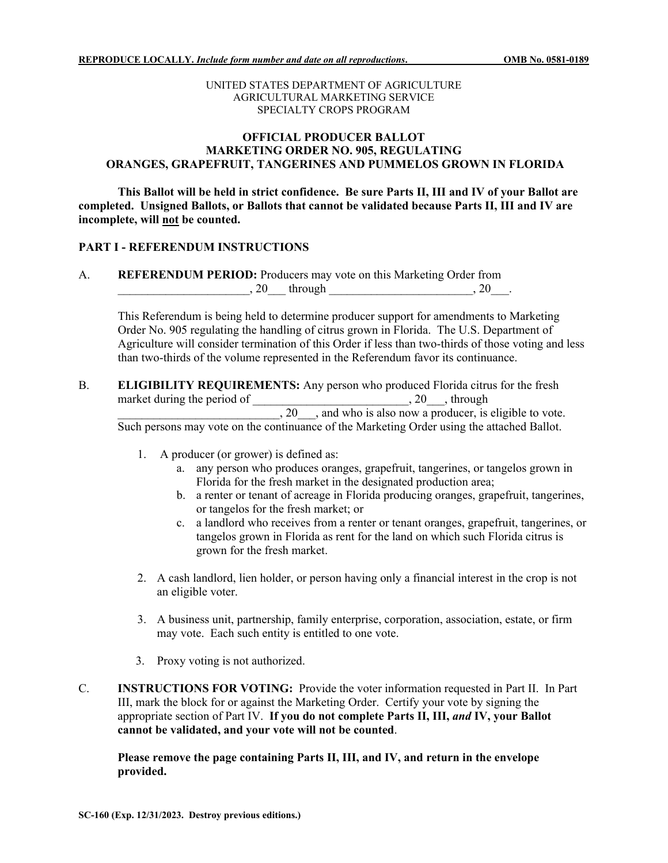### UNITED STATES DEPARTMENT OF AGRICULTURE AGRICULTURAL MARKETING SERVICE SPECIALTY CROPS PROGRAM

# **OFFICIAL PRODUCER BALLOT MARKETING ORDER NO. 905, REGULATING ORANGES, GRAPEFRUIT, TANGERINES AND PUMMELOS GROWN IN FLORIDA**

**This Ballot will be held in strict confidence. Be sure Parts II, III and IV of your Ballot are completed. Unsigned Ballots, or Ballots that cannot be validated because Parts II, III and IV are incomplete, will not be counted.**

## **PART I - REFERENDUM INSTRUCTIONS**

A. **REFERENDUM PERIOD:** Producers may vote on this Marketing Order from  $, 20$  through  $, 20$ .

This Referendum is being held to determine producer support for amendments to Marketing Order No. 905 regulating the handling of citrus grown in Florida. The U.S. Department of Agriculture will consider termination of this Order if less than two-thirds of those voting and less than two-thirds of the volume represented in the Referendum favor its continuance.

- B. **ELIGIBILITY REQUIREMENTS:** Any person who produced Florida citrus for the fresh market during the period of \_\_\_\_\_\_\_\_\_\_\_\_\_\_\_\_\_\_\_\_\_\_\_\_\_\_\_\_\_\_\_\_, 20\_\_\_, through  $\frac{1}{20}$ , and who is also now a producer, is eligible to vote. Such persons may vote on the continuance of the Marketing Order using the attached Ballot.
	- 1. A producer (or grower) is defined as:
		- a. any person who produces oranges, grapefruit, tangerines, or tangelos grown in Florida for the fresh market in the designated production area;
		- b. a renter or tenant of acreage in Florida producing oranges, grapefruit, tangerines, or tangelos for the fresh market; or
		- c. a landlord who receives from a renter or tenant oranges, grapefruit, tangerines, or tangelos grown in Florida as rent for the land on which such Florida citrus is grown for the fresh market.
	- 2. A cash landlord, lien holder, or person having only a financial interest in the crop is not an eligible voter.
	- 3. A business unit, partnership, family enterprise, corporation, association, estate, or firm may vote. Each such entity is entitled to one vote.
	- 3. Proxy voting is not authorized.
- C. **INSTRUCTIONS FOR VOTING:** Provide the voter information requested in Part II. In Part III, mark the block for or against the Marketing Order. Certify your vote by signing the appropriate section of Part IV. **If you do not complete Parts II, III,** *and* **IV, your Ballot cannot be validated, and your vote will not be counted**.

**Please remove the page containing Parts II, III, and IV, and return in the envelope provided.**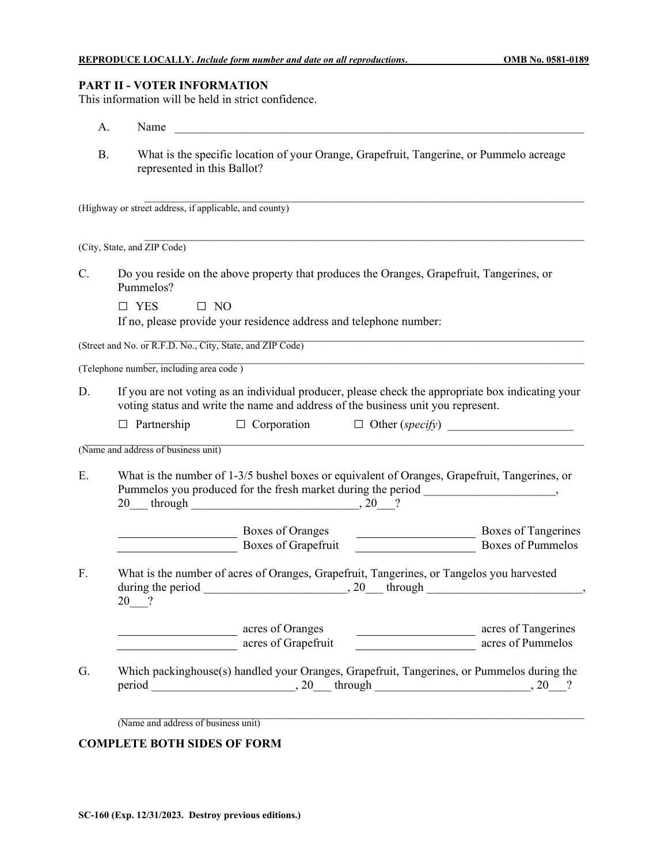# **PART II - VOTER INFORMATION**

This information will be held in strict confidence.

|           | Name<br>А.                                                                                                                                                                            |                                                                                                                                                                                                                                                                                                                     |
|-----------|---------------------------------------------------------------------------------------------------------------------------------------------------------------------------------------|---------------------------------------------------------------------------------------------------------------------------------------------------------------------------------------------------------------------------------------------------------------------------------------------------------------------|
| <b>B.</b> | What is the specific location of your Orange, Grapefruit, Tangerine, or Pummelo acreage<br>represented in this Ballot?                                                                |                                                                                                                                                                                                                                                                                                                     |
|           | (Highway or street address, if applicable, and county)                                                                                                                                |                                                                                                                                                                                                                                                                                                                     |
|           | (City, State, and ZIP Code)                                                                                                                                                           |                                                                                                                                                                                                                                                                                                                     |
| C.        | Do you reside on the above property that produces the Oranges, Grapefruit, Tangerines, or<br>Pummelos?                                                                                |                                                                                                                                                                                                                                                                                                                     |
|           | $\Box$ YES<br>$\square$ NO                                                                                                                                                            |                                                                                                                                                                                                                                                                                                                     |
|           | If no, please provide your residence address and telephone number:                                                                                                                    |                                                                                                                                                                                                                                                                                                                     |
|           | (Street and No. or R.F.D. No., City, State, and ZIP Code)                                                                                                                             |                                                                                                                                                                                                                                                                                                                     |
|           | (Telephone number, including area code)                                                                                                                                               |                                                                                                                                                                                                                                                                                                                     |
| D.        | If you are not voting as an individual producer, please check the appropriate box indicating your<br>voting status and write the name and address of the business unit you represent. |                                                                                                                                                                                                                                                                                                                     |
|           | $\Box$ Partnership $\Box$ Corporation $\Box$ Other (specify)                                                                                                                          |                                                                                                                                                                                                                                                                                                                     |
|           | (Name and address of business unit)                                                                                                                                                   |                                                                                                                                                                                                                                                                                                                     |
| Ε.        | What is the number of 1-3/5 bushel boxes or equivalent of Oranges, Grapefruit, Tangerines, or<br>Pummelos you produced for the fresh market during the period ____________________    |                                                                                                                                                                                                                                                                                                                     |
|           | Boxes of Oranges<br>Boxes of Grapefruit                                                                                                                                               | <b>Boxes of Tangerines</b><br>$\begin{tabular}{ c c c c } \hline \quad \quad & \quad \quad & \quad \quad \\ \hline \quad \quad & \quad \quad & \quad \quad \\ \hline \quad \quad & \quad \quad & \quad \quad \\ \hline \quad \quad & \quad \quad & \quad \quad \\ \hline \end{tabular}$<br><b>Boxes of Pummelos</b> |
| F.        | What is the number of acres of Oranges, Grapefruit, Tangerines, or Tangelos you harvested<br>$20$ $\frac{1}{2}$                                                                       |                                                                                                                                                                                                                                                                                                                     |
|           | acres of Oranges                                                                                                                                                                      |                                                                                                                                                                                                                                                                                                                     |
|           | acres of Grapefruit<br><u> 1990 - Jan Barbara III, politik politik (</u>                                                                                                              | acres of Tangerines<br>acres of Pummelos                                                                                                                                                                                                                                                                            |

# **COMPLETE BOTH SIDES OF FORM**